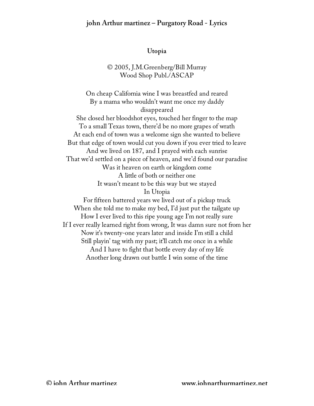#### **Utopia**

#### © 2005, J.M.Greenberg/Bill Murray Wood Shop Publ./ASCAP

On cheap California wine I was breastfed and reared By a mama who wouldn't want me once my daddy disappeared She closed her bloodshot eyes, touched her finger to the map To a small Texas town, there'd be no more grapes of wrath At each end of town was a welcome sign she wanted to believe But that edge of town would cut you down if you ever tried to leave And we lived on 187, and I prayed with each sunrise That we'd settled on a piece of heaven, and we'd found our paradise Was it heaven on earth or kingdom come A little of both or neither one It wasn't meant to be this way but we stayed In Utopia For fifteen battered years we lived out of a pickup truck When she told me to make my bed, I'd just put the tailgate up How I ever lived to this ripe young age I'm not really sure If I ever really learned right from wrong, It was damn sure not from her Now it's twenty-one years later and inside I'm still a child Still playin' tag with my past; it'll catch me once in a while And I have to fight that bottle every day of my life Another long drawn out battle I win some of the time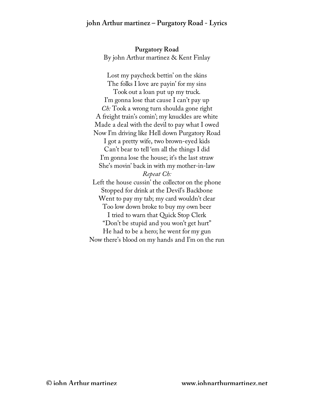**Purgatory Road** By john Arthur martinez & Kent Finlay

Lost my paycheck bettin' on the skins The folks I love are payin' for my sins Took out a loan put up my truck. I'm gonna lose that cause I can't pay up *Ch:* Took a wrong turn shoulda gone right A freight train's comin'; my knuckles are white Made a deal with the devil to pay what I owed Now I'm driving like Hell down Purgatory Road I got a pretty wife, two brown-eyed kids Can't bear to tell 'em all the things I did I'm gonna lose the house; it's the last straw She's movin' back in with my mother-in-law *Repeat Ch:* Left the house cussin' the collector on the phone Stopped for drink at the Devil's Backbone Went to pay my tab; my card wouldn't clear Too low down broke to buy my own beer I tried to warn that Quick Stop Clerk "Don't be stupid and you won't get hurt" He had to be a hero; he went for my gun Now there's blood on my hands and I'm on the run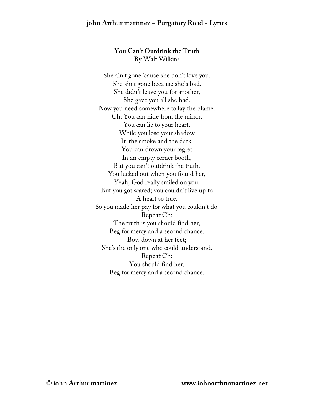# **You Can't Outdrink the Truth B**y Walt Wilkins

She ain't gone 'cause she don't love you, She ain't gone because she's bad. She didn't leave you for another, She gave you all she had. Now you need somewhere to lay the blame. Ch: You can hide from the mirror, You can lie to your heart, While you lose your shadow In the smoke and the dark. You can drown your regret In an empty corner booth, But you can't outdrink the truth. You lucked out when you found her, Yeah, God really smiled on you. But you got scared; you couldn't live up to A heart so true. So you made her pay for what you couldn't do. Repeat Ch: The truth is you should find her, Beg for mercy and a second chance. Bow down at her feet; She's the only one who could understand. Repeat Ch: You should find her, Beg for mercy and a second chance.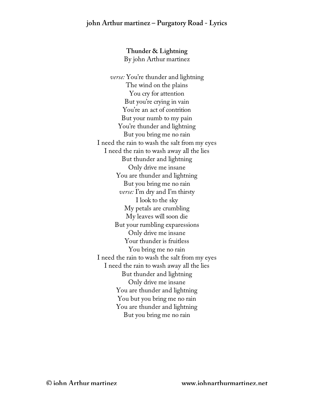**Thunder & Lightning** By john Arthur martinez

*verse:* You're thunder and lightning The wind on the plains You cry for attention But you're crying in vain You're an act of contrition But your numb to my pain You're thunder and lightning But you bring me no rain I need the rain to wash the salt from my eyes I need the rain to wash away all the lies But thunder and lightning Only drive me insane You are thunder and lightning But you bring me no rain *verse:* I'm dry and I'm thirsty I look to the sky My petals are crumbling My leaves will soon die But your rumbling exparessions Only drive me insane Your thunder is fruitless You bring me no rain I need the rain to wash the salt from my eyes I need the rain to wash away all the lies But thunder and lightning Only drive me insane You are thunder and lightning You but you bring me no rain You are thunder and lightning But you bring me no rain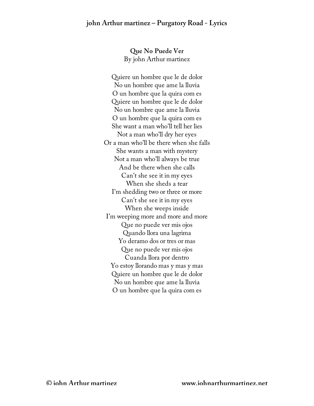**Que No Puede Ver** By john Arthur martinez

Quiere un hombre que le de dolor No un hombre que ame la lluvia O un hombre que la quira com es Quiere un hombre que le de dolor No un hombre que ame la lluvia O un hombre que la quira com es She want a man who'll tell her lies Not a man who'll dry her eyes Or a man who'll be there when she falls She wants a man with mystery Not a man who'll always be true And be there when she calls Can't she see it in my eyes When she sheds a tear I'm shedding two or three or more Can't she see it in my eyes When she weeps inside I'm weeping more and more and more Que no puede ver mis ojos Quando llora una lagrima Yo deramo dos or tres or mas Que no puede ver mis ojos Cuanda llora por dentro Yo estoy llorando mas y mas y mas Quiere un hombre que le de dolor No un hombre que ame la lluvia O un hombre que la quira com es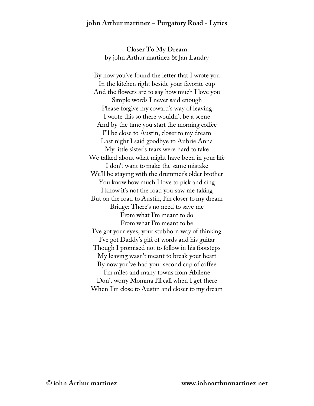**Closer To My Dream** by john Arthur martinez & Jan Landry

By now you've found the letter that I wrote you In the kitchen right beside your favorite cup And the flowers are to say how much I love you Simple words I never said enough Please forgive my coward's way of leaving I wrote this so there wouldn't be a scene And by the time you start the morning coffee I'll be close to Austin, closer to my dream Last night I said goodbye to Aubrie Anna My little sister's tears were hard to take We talked about what might have been in your life I don't want to make the same mistake We'll be staying with the drummer's older brother You know how much I love to pick and sing I know it's not the road you saw me taking But on the road to Austin, I'm closer to my dream Bridge: There's no need to save me From what I'm meant to do From what I'm meant to be I've got your eyes, your stubborn way of thinking I've got Daddy's gift of words and his guitar Though I promised not to follow in his footsteps My leaving wasn't meant to break your heart By now you've had your second cup of coffee I'm miles and many towns from Abilene Don't worry Momma I'll call when I get there When I'm close to Austin and closer to my dream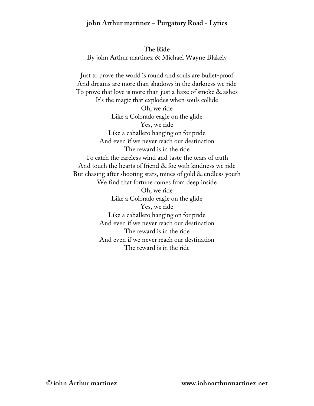**The Ride** By john Arthur martinez & Michael Wayne Blakely

Just to prove the world is round and souls are bullet-proof And dreams are more than shadows in the darkness we ride To prove that love is more than just a haze of smoke & ashes It's the magic that explodes when souls collide Oh, we ride Like a Colorado eagle on the glide Yes, we ride Like a caballero hanging on for pride And even if we never reach our destination The reward is in the ride To catch the careless wind and taste the tears of truth And touch the hearts of friend & foe with kindness we ride But chasing after shooting stars, mines of gold & endless youth We find that fortune comes from deep inside Oh, we ride Like a Colorado eagle on the glide Yes, we ride Like a caballero hanging on for pride And even if we never reach our destination The reward is in the ride And even if we never reach our destination The reward is in the ride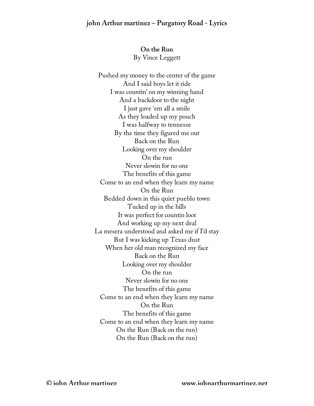# **On the Run**  By Vince Leggett

Pushed my money to the center of the game And I said boys let it ride I was countin' on my winning hand And a backdoor to the night I just gave 'em all a smile As they loaded up my pouch I was halfway to tennesse By the time they figured me out Back on the Run Looking over my shoulder On the run Never slowin for no one The benefits of this game Come to an end when they learn my name On the Run Bedded down in this quiet pueblo town Tucked up in the hills It was perfect for countin loot And working up my next deal La mesera understood and asked me if I'd stay But I was kicking up Texas dust When her old man recognized my face Back on the Run Looking over my shoulder On the run Never slowin for no one The benefits of this game Come to an end when they learn my name On the Run The benefits of this game Come to an end when they learn my name On the Run (Back on the run) On the Run (Back on the run)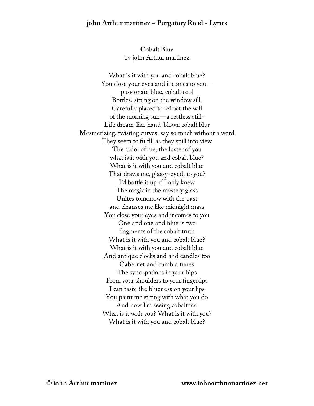**Cobalt Blue** by john Arthur martinez

What is it with you and cobalt blue? You close your eyes and it comes to you passionate blue, cobalt cool Bottles, sitting on the window sill, Carefully placed to refract the will of the morning sun—a restless still-Life dream-like hand-blown cobalt blur Mesmerizing, twisting curves, say so much without a word They seem to fulfill as they spill into view The ardor of me, the luster of you what is it with you and cobalt blue? What is it with you and cobalt blue That draws me, glassy-eyed, to you? I'd bottle it up if I only knew The magic in the mystery glass Unites tomorrow with the past and cleanses me like midnight mass You close your eyes and it comes to you One and one and blue is two fragments of the cobalt truth What is it with you and cobalt blue? What is it with you and cobalt blue And antique clocks and and candles too Cabernet and cumbia tunes The syncopations in your hips From your shoulders to your fingertips I can taste the blueness on your lips You paint me strong with what you do And now I'm seeing cobalt too What is it with you? What is it with you? What is it with you and cobalt blue?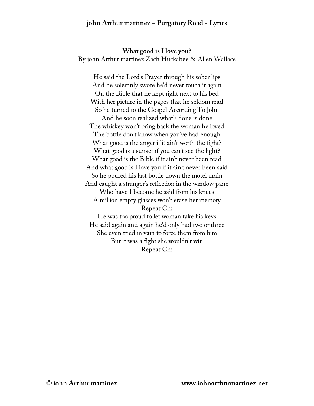**What good is I love you?** By john Arthur martinez Zach Huckabee & Allen Wallace

He said the Lord's Prayer through his sober lips And he solemnly swore he'd never touch it again On the Bible that he kept right next to his bed With her picture in the pages that he seldom read So he turned to the Gospel According To John And he soon realized what's done is done The whiskey won't bring back the woman he loved The bottle don't know when you've had enough What good is the anger if it ain't worth the fight? What good is a sunset if you can't see the light? What good is the Bible if it ain't never been read And what good is I love you if it ain't never been said So he poured his last bottle down the motel drain And caught a stranger's reflection in the window pane Who have I become he said from his knees A million empty glasses won't erase her memory Repeat Ch: He was too proud to let woman take his keys He said again and again he'd only had two or three She even tried in vain to force them from him But it was a fight she wouldn't win Repeat Ch: